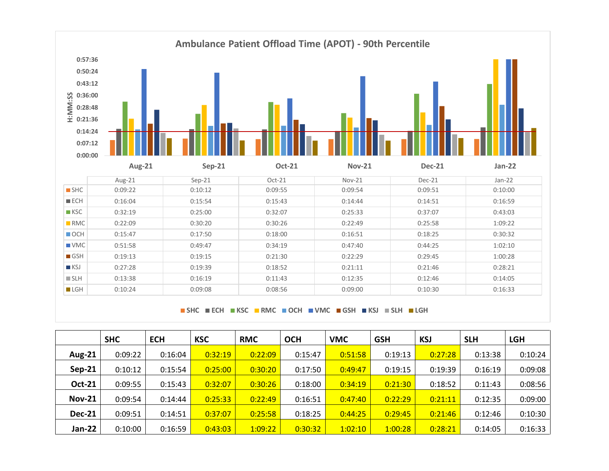

**SHC ECH KSC RMC OCH VMC GSH KSJ SLH LGH**

|               | <b>SHC</b> | <b>ECH</b> | <b>KSC</b> | <b>RMC</b> | <b>OCH</b> | <b>VMC</b> | <b>GSH</b> | <b>KSJ</b> | <b>SLH</b> | <b>LGH</b> |
|---------------|------------|------------|------------|------------|------------|------------|------------|------------|------------|------------|
| <b>Aug-21</b> | 0:09:22    | 0:16:04    | 0:32:19    | 0:22:09    | 0:15:47    | 0:51:58    | 0:19:13    | 0:27:28    | 0:13:38    | 0:10:24    |
| $Sep-21$      | 0:10:12    | 0:15:54    | 0:25:00    | 0:30:20    | 0:17:50    | 0:49:47    | 0:19:15    | 0:19:39    | 0:16:19    | 0:09:08    |
| <b>Oct-21</b> | 0:09:55    | 0:15:43    | 0:32:07    | 0:30:26    | 0:18:00    | 0:34:19    | 0:21:30    | 0:18:52    | 0:11:43    | 0:08:56    |
| <b>Nov-21</b> | 0:09:54    | 0:14:44    | 0:25:33    | 0:22:49    | 0:16:51    | 0:47:40    | 0:22:29    | 0:21:11    | 0:12:35    | 0:09:00    |
| <b>Dec-21</b> | 0:09:51    | 0:14:51    | 0:37:07    | 0:25:58    | 0:18:25    | 0:44:25    | 0:29:45    | 0:21:46    | 0:12:46    | 0:10:30    |
| Jan-22        | 0:10:00    | 0:16:59    | 0:43:03    | 1:09:22    | 0:30:32    | 1:02:10    | 1:00:28    | 0:28:21    | 0:14:05    | 0:16:33    |